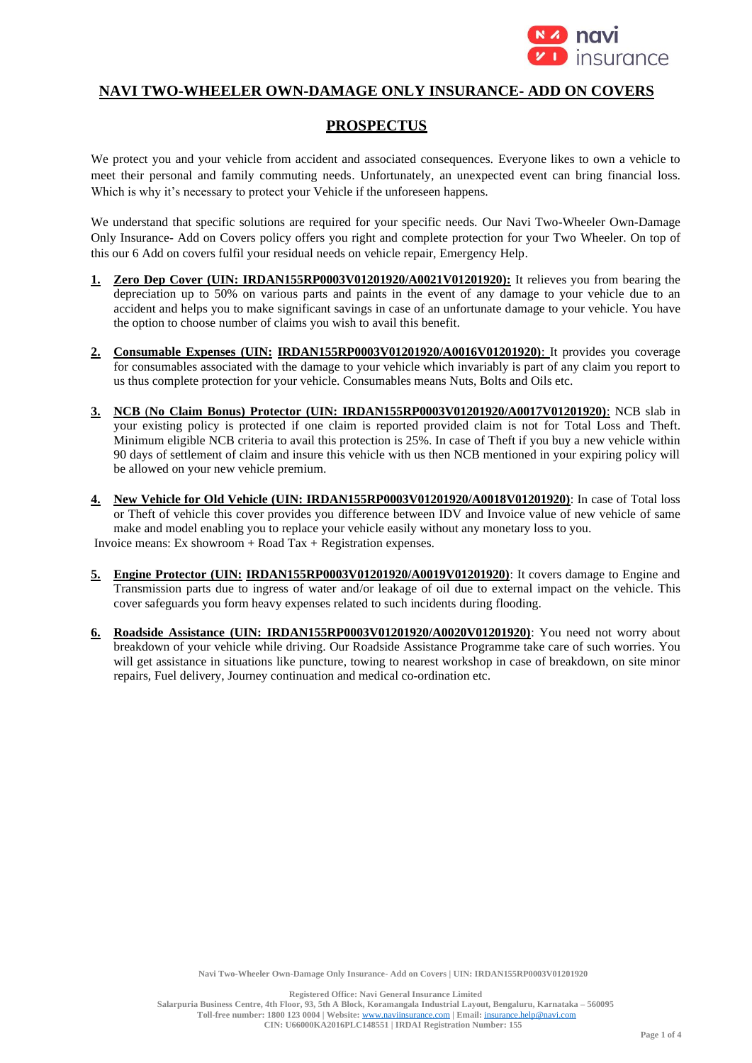

# **NAVI TWO-WHEELER OWN-DAMAGE ONLY INSURANCE- ADD ON COVERS**

# **PROSPECTUS**

We protect you and your vehicle from accident and associated consequences. Everyone likes to own a vehicle to meet their personal and family commuting needs. Unfortunately, an unexpected event can bring financial loss. Which is why it's necessary to protect your Vehicle if the unforeseen happens.

We understand that specific solutions are required for your specific needs. Our Navi Two-Wheeler Own-Damage Only Insurance- Add on Covers policy offers you right and complete protection for your Two Wheeler. On top of this our 6 Add on covers fulfil your residual needs on vehicle repair, Emergency Help.

- **1. Zero Dep Cover (UIN: IRDAN155RP0003V01201920/A0021V01201920):** It relieves you from bearing the depreciation up to 50% on various parts and paints in the event of any damage to your vehicle due to an accident and helps you to make significant savings in case of an unfortunate damage to your vehicle. You have the option to choose number of claims you wish to avail this benefit.
- **2. Consumable Expenses (UIN: IRDAN155RP0003V01201920/A0016V01201920)**: It provides you coverage for consumables associated with the damage to your vehicle which invariably is part of any claim you report to us thus complete protection for your vehicle. Consumables means Nuts, Bolts and Oils etc.
- **3. NCB** (**No Claim Bonus) Protector (UIN: IRDAN155RP0003V01201920/A0017V01201920)**: NCB slab in your existing policy is protected if one claim is reported provided claim is not for Total Loss and Theft. Minimum eligible NCB criteria to avail this protection is 25%. In case of Theft if you buy a new vehicle within 90 days of settlement of claim and insure this vehicle with us then NCB mentioned in your expiring policy will be allowed on your new vehicle premium.
- **4. New Vehicle for Old Vehicle (UIN: IRDAN155RP0003V01201920/A0018V01201920)**: In case of Total loss or Theft of vehicle this cover provides you difference between IDV and Invoice value of new vehicle of same make and model enabling you to replace your vehicle easily without any monetary loss to you. Invoice means: Ex showroom  $+$  Road Tax  $+$  Registration expenses.
- **5. Engine Protector (UIN: IRDAN155RP0003V01201920/A0019V01201920)**: It covers damage to Engine and Transmission parts due to ingress of water and/or leakage of oil due to external impact on the vehicle. This cover safeguards you form heavy expenses related to such incidents during flooding.
- **6. Roadside Assistance (UIN: IRDAN155RP0003V01201920/A0020V01201920)**: You need not worry about breakdown of your vehicle while driving. Our Roadside Assistance Programme take care of such worries. You will get assistance in situations like puncture, towing to nearest workshop in case of breakdown, on site minor repairs, Fuel delivery, Journey continuation and medical co-ordination etc.

**Navi Two-Wheeler Own-Damage Only Insurance- Add on Covers | UIN: IRDAN155RP0003V01201920**

**Registered Office: Navi General Insurance Limited Salarpuria Business Centre, 4th Floor, 93, 5th A Block, Koramangala Industrial Layout, Bengaluru, Karnataka – 560095 Toll-free number: 1800 123 0004 | Website:** [www.naviinsurance.com](http://www.naviinsurance.com/) **| Email:** [insurance.help@navi.com](mailto:insurance.help@navi.com) **CIN: U66000KA2016PLC148551 | IRDAI Registration Number: 155**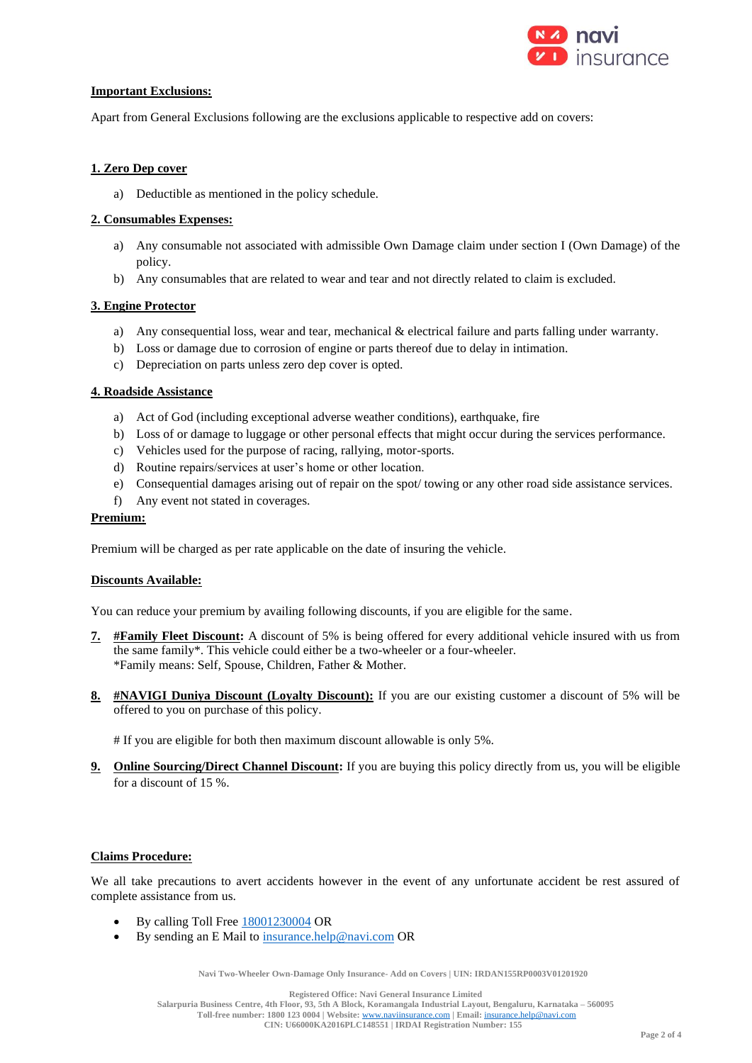

#### **Important Exclusions:**

Apart from General Exclusions following are the exclusions applicable to respective add on covers:

#### **1. Zero Dep cover**

a) Deductible as mentioned in the policy schedule.

#### **2. Consumables Expenses:**

- a) Any consumable not associated with admissible Own Damage claim under section I (Own Damage) of the policy.
- b) Any consumables that are related to wear and tear and not directly related to claim is excluded.

## **3. Engine Protector**

- a) Any consequential loss, wear and tear, mechanical & electrical failure and parts falling under warranty.
- b) Loss or damage due to corrosion of engine or parts thereof due to delay in intimation.
- c) Depreciation on parts unless zero dep cover is opted.

## **4. Roadside Assistance**

- a) Act of God (including exceptional adverse weather conditions), earthquake, fire
- b) Loss of or damage to luggage or other personal effects that might occur during the services performance.
- c) Vehicles used for the purpose of racing, rallying, motor-sports.
- d) Routine repairs/services at user's home or other location.
- e) Consequential damages arising out of repair on the spot/ towing or any other road side assistance services.
- f) Any event not stated in coverages.

#### **Premium:**

Premium will be charged as per rate applicable on the date of insuring the vehicle.

#### **Discounts Available:**

You can reduce your premium by availing following discounts, if you are eligible for the same.

- **7. #Family Fleet Discount:** A discount of 5% is being offered for every additional vehicle insured with us from the same family\*. This vehicle could either be a two-wheeler or a four-wheeler. \*Family means: Self, Spouse, Children, Father & Mother.
- **8. #NAVIGI Duniya Discount (Loyalty Discount):** If you are our existing customer a discount of 5% will be offered to you on purchase of this policy.

# If you are eligible for both then maximum discount allowable is only 5%.

**9. Online Sourcing/Direct Channel Discount:** If you are buying this policy directly from us, you will be eligible for a discount of 15 %.

## **Claims Procedure:**

We all take precautions to avert accidents however in the event of any unfortunate accident be rest assured of complete assistance from us.

- By calling Toll Free 18001230004 OR
- By sending an E Mail to insurance.help@navi.com OR

**Navi Two-Wheeler Own-Damage Only Insurance- Add on Covers | UIN: IRDAN155RP0003V01201920**

**Registered Office: Navi General Insurance Limited**

**Salarpuria Business Centre, 4th Floor, 93, 5th A Block, Koramangala Industrial Layout, Bengaluru, Karnataka – 560095 Toll-free number: 1800 123 0004 | Website:** [www.naviinsurance.com](http://www.naviinsurance.com/) **| Email:** [insurance.help@navi.com](mailto:insurance.help@navi.com)

**CIN: U66000KA2016PLC148551 | IRDAI Registration Number: 155**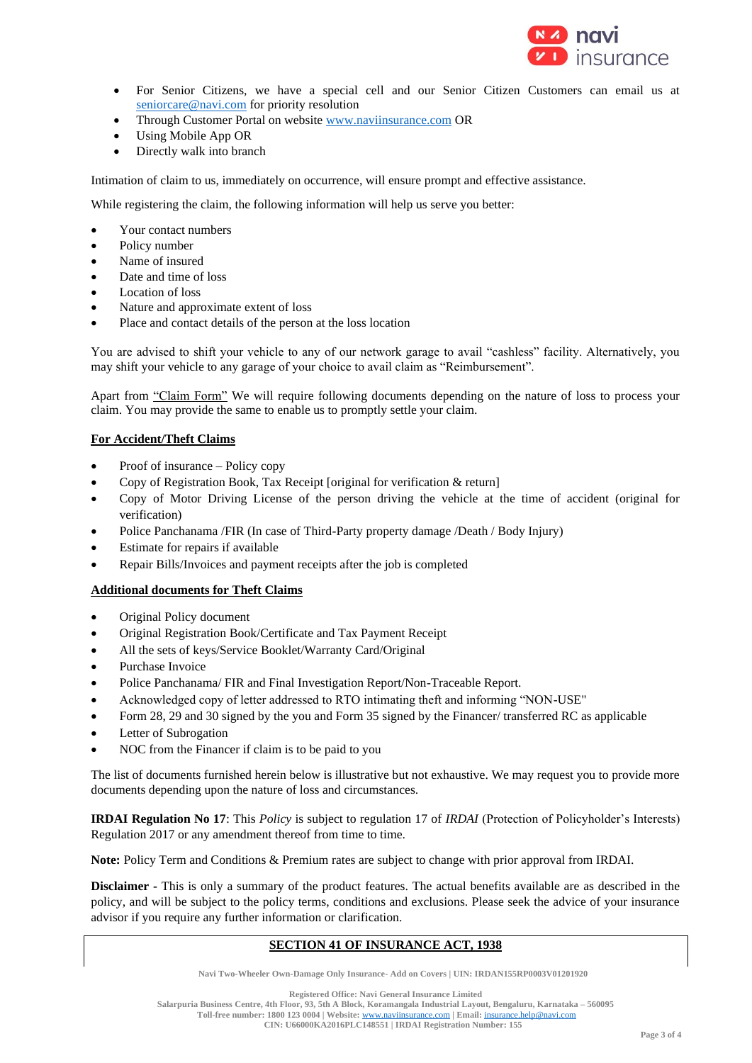

- For Senior Citizens, we have a special cell and our Senior Citizen Customers can email us at seniorcare@navi.com for priority resolution
- Through Customer Portal on website www.naviinsurance.com OR
- Using Mobile App OR
- Directly walk into branch

Intimation of claim to us, immediately on occurrence, will ensure prompt and effective assistance.

While registering the claim, the following information will help us serve you better:

- Your contact numbers
- Policy number
- Name of insured
- Date and time of loss
- Location of loss
- Nature and approximate extent of loss
- Place and contact details of the person at the loss location

You are advised to shift your vehicle to any of our network garage to avail "cashless" facility. Alternatively, you may shift your vehicle to any garage of your choice to avail claim as "Reimbursement".

Apart from "Claim Form" We will require following documents depending on the nature of loss to process your claim. You may provide the same to enable us to promptly settle your claim.

#### **For Accident/Theft Claims**

- Proof of insurance Policy copy
- Copy of Registration Book, Tax Receipt [original for verification & return]
- Copy of Motor Driving License of the person driving the vehicle at the time of accident (original for verification)
- Police Panchanama /FIR (In case of Third-Party property damage /Death / Body Injury)
- Estimate for repairs if available
- Repair Bills/Invoices and payment receipts after the job is completed

#### **Additional documents for Theft Claims**

- Original Policy document
- Original Registration Book/Certificate and Tax Payment Receipt
- All the sets of keys/Service Booklet/Warranty Card/Original
- Purchase Invoice
- Police Panchanama/ FIR and Final Investigation Report/Non-Traceable Report.
- Acknowledged copy of letter addressed to RTO intimating theft and informing "NON-USE"
- Form 28, 29 and 30 signed by the you and Form 35 signed by the Financer/ transferred RC as applicable
- Letter of Subrogation
- NOC from the Financer if claim is to be paid to you

The list of documents furnished herein below is illustrative but not exhaustive. We may request you to provide more documents depending upon the nature of loss and circumstances.

**IRDAI Regulation No 17**: This *Policy* is subject to regulation 17 of *IRDAI* (Protection of Policyholder's Interests) Regulation 2017 or any amendment thereof from time to time.

**Note:** Policy Term and Conditions & Premium rates are subject to change with prior approval from IRDAI.

**Disclaimer -** This is only a summary of the product features. The actual benefits available are as described in the policy, and will be subject to the policy terms, conditions and exclusions. Please seek the advice of your insurance advisor if you require any further information or clarification.

#### **SECTION 41 OF INSURANCE ACT, 1938**

**Navi Two-Wheeler Own-Damage Only Insurance- Add on Covers | UIN: IRDAN155RP0003V01201920**

**Registered Office: Navi General Insurance Limited**

**Salarpuria Business Centre, 4th Floor, 93, 5th A Block, Koramangala Industrial Layout, Bengaluru, Karnataka – 560095 Toll-free number: 1800 123 0004 | Website:** [www.naviinsurance.com](http://www.naviinsurance.com/) **| Email:** [insurance.help@navi.com](mailto:insurance.help@navi.com)